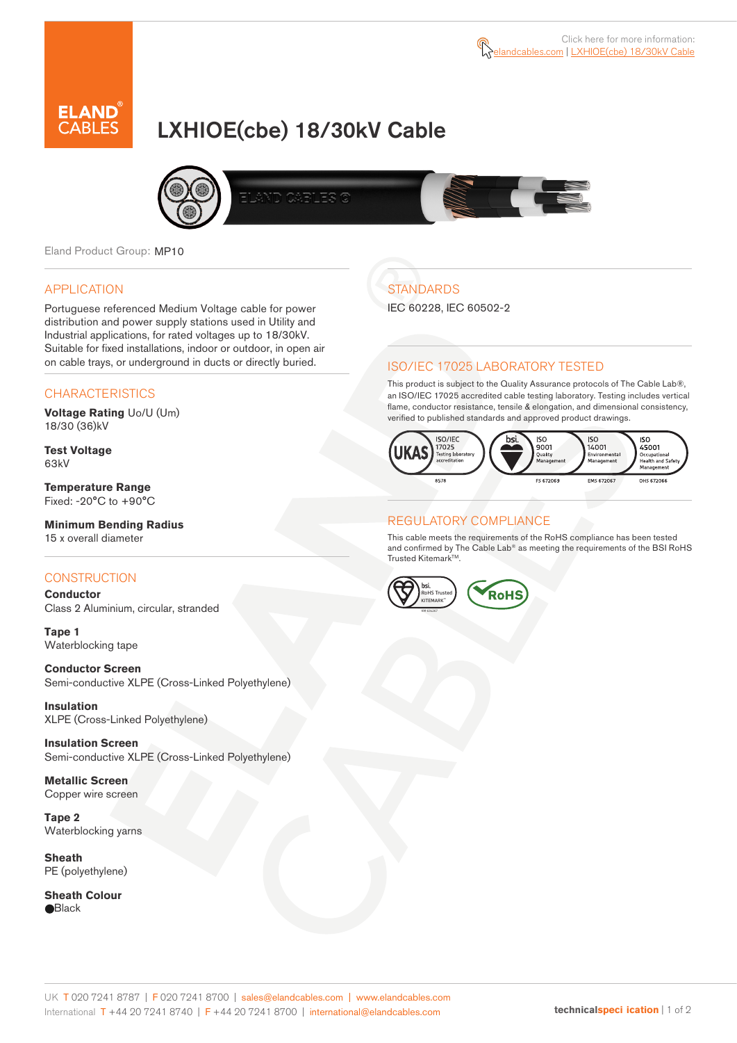

# LXHIOE(cbe) 18/30kV Cable



Eland Product Group: MP10

#### APPLICATION

Portuguese referenced Medium Voltage cable for power distribution and power supply stations used in Utility and Industrial applications, for rated voltages up to 18/30kV. Suitable for fixed installations, indoor or outdoor, in open air on cable trays, or underground in ducts or directly buried.

### **CHARACTERISTICS**

**Voltage Rating** Uo/U (Um) 18/30 (36)kV

**Test Voltage** 63kV

**Temperature Range** Fixed: -20°C to +90°C

# **Minimum Bending Radius**

15 x overall diameter

### **CONSTRUCTION**

**Conductor**  Class 2 Aluminium, circular, stranded

**Tape 1** Waterblocking tape

**Conductor Screen** Semi-conductive XLPE (Cross-Linked Polyethylene)

**Insulation** XLPE (Cross-Linked Polyethylene)

**Insulation Screen** Semi-conductive XLPE (Cross-Linked Polyethylene)

**Metallic Screen**  Copper wire screen

**Tape 2** Waterblocking yarns

**Sheath** PE (polyethylene)

**Sheath Colour Black** 

# **STANDARDS**

IEC 60228, IEC 60502-2

### ISO/IEC 17025 LABORATORY TESTED

This product is subject to the Quality Assurance protocols of The Cable Lab®, an ISO/IEC 17025 accredited cable testing laboratory. Testing includes vertical flame, conductor resistance, tensile & elongation, and dimensional consistency, verified to published standards and approved product drawings.



### REGULATORY COMPLIANCE

This cable meets the requirements of the RoHS compliance has been tested and confirmed by The Cable Lab® as meeting the requirements of the BSI RoHS Trusted Kitemark™.